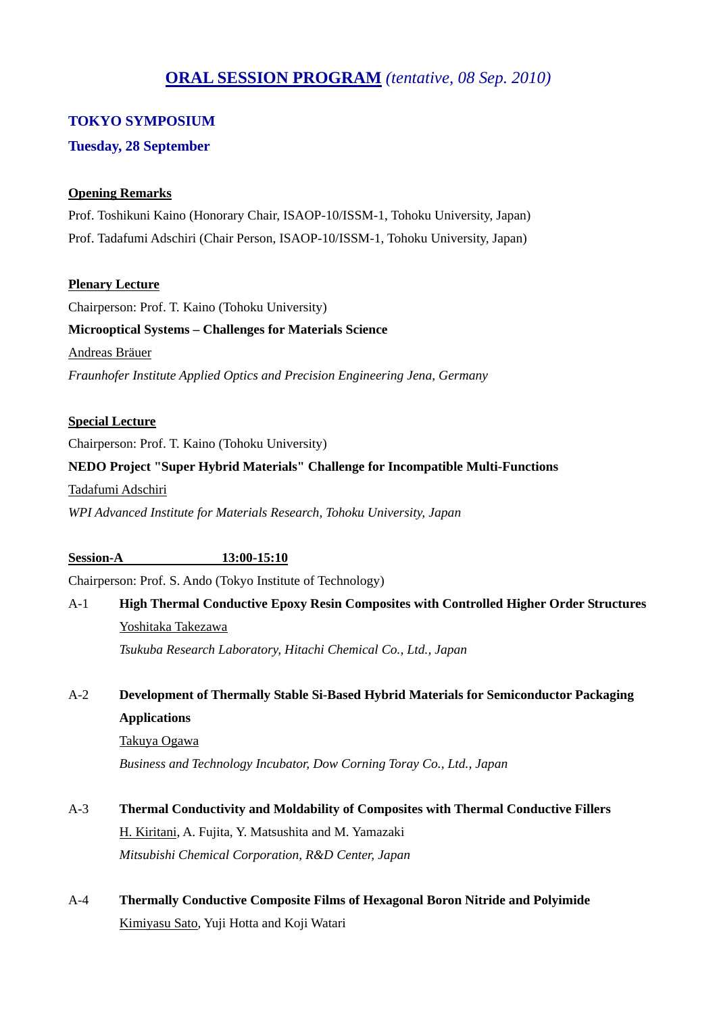# **ORAL SESSION PROGRAM** *(tentative, 08 Sep. 2010)*

### **TOKYO SYMPOSIUM**

### **Tuesday, 28 September**

### **Opening Remarks**

Prof. Toshikuni Kaino (Honorary Chair, ISAOP-10/ISSM-1, Tohoku University, Japan) Prof. Tadafumi Adschiri (Chair Person, ISAOP-10/ISSM-1, Tohoku University, Japan)

### **Plenary Lecture**

Chairperson: Prof. T. Kaino (Tohoku University) **Microoptical Systems – Challenges for Materials Science**  Andreas Bräuer *Fraunhofer Institute Applied Optics and Precision Engineering Jena, Germany* 

### **Special Lecture**

Chairperson: Prof. T. Kaino (Tohoku University)

### **NEDO Project "Super Hybrid Materials" Challenge for Incompatible Multi-Functions**

Tadafumi Adschiri

*WPI Advanced Institute for Materials Research, Tohoku University, Japan* 

### **Session-A 13:00-15:10**

Chairperson: Prof. S. Ando (Tokyo Institute of Technology)

A-1 **High Thermal Conductive Epoxy Resin Composites with Controlled Higher Order Structures** Yoshitaka Takezawa

 *Tsukuba Research Laboratory, Hitachi Chemical Co., Ltd., Japan* 

### A-2 **Development of Thermally Stable Si-Based Hybrid Materials for Semiconductor Packaging Applications**

 Takuya Ogawa  *Business and Technology Incubator, Dow Corning Toray Co., Ltd., Japan* 

# A-3 **Thermal Conductivity and Moldability of Composites with Thermal Conductive Fillers** H. Kiritani, A. Fujita, Y. Matsushita and M. Yamazaki  *Mitsubishi Chemical Corporation, R&D Center, Japan*

A-4 **Thermally Conductive Composite Films of Hexagonal Boron Nitride and Polyimide** Kimiyasu Sato, Yuji Hotta and Koji Watari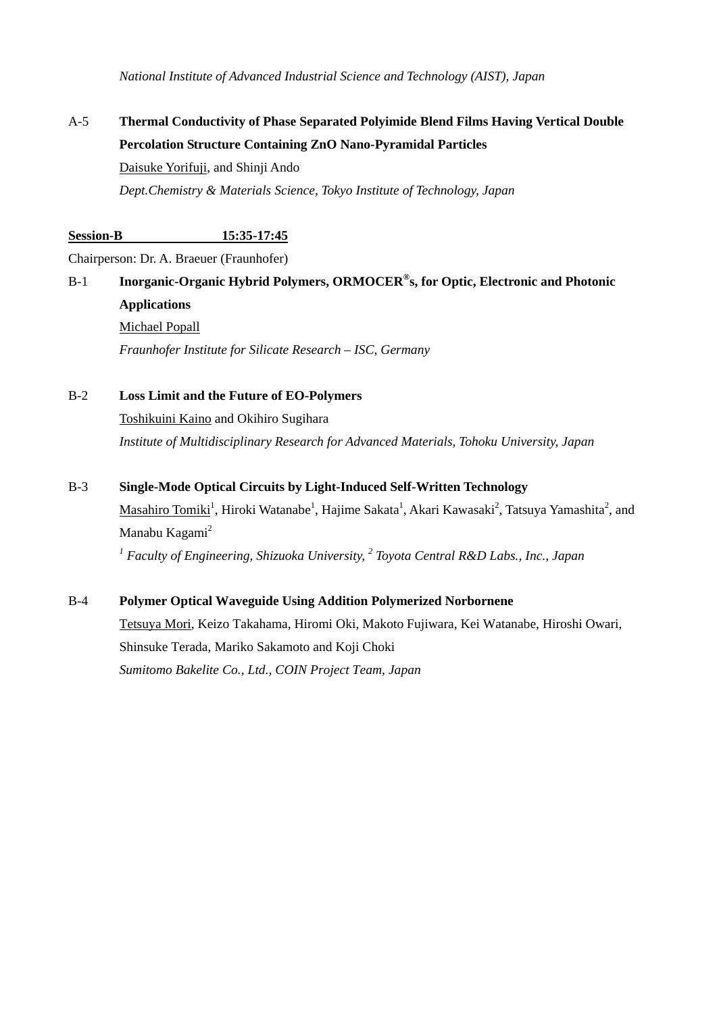*National Institute of Advanced Industrial Science and Technology (AIST), Japan* 

# A-5 **Thermal Conductivity of Phase Separated Polyimide Blend Films Having Vertical Double Percolation Structure Containing ZnO Nano-Pyramidal Particles**  Daisuke Yorifuji, and Shinji Ando

 *Dept.Chemistry & Materials Science, Tokyo Institute of Technology, Japan* 

### **Session-B 15:35-17:45**

Chairperson: Dr. A. Braeuer (Fraunhofer)

# B-1 **Inorganic-Organic Hybrid Polymers, ORMOCER®s, for Optic, Electronic and Photonic Applications**  Michael Popall *Fraunhofer Institute for Silicate Research – ISC, Germany*

B-2 **Loss Limit and the Future of EO-Polymers** Toshikuini Kaino and Okihiro Sugihara  *Institute of Multidisciplinary Research for Advanced Materials, Tohoku University, Japan* 

### B-3 **Single-Mode Optical Circuits by Light-Induced Self-Written Technology**

Masahiro Tomiki<sup>1</sup>, Hiroki Watanabe<sup>1</sup>, Hajime Sakata<sup>1</sup>, Akari Kawasaki<sup>2</sup>, Tatsuya Yamashita<sup>2</sup>, and Manabu Kagami<sup>2</sup>

<sup>1</sup> Faculty of Engineering, Shizuoka University, <sup>2</sup> Toyota Central R&D Labs., Inc., Japan

### B-4 **Polymer Optical Waveguide Using Addition Polymerized Norbornene**

 Tetsuya Mori, Keizo Takahama, Hiromi Oki, Makoto Fujiwara, Kei Watanabe, Hiroshi Owari, Shinsuke Terada, Mariko Sakamoto and Koji Choki  *Sumitomo Bakelite Co., Ltd., COIN Project Team, Japan*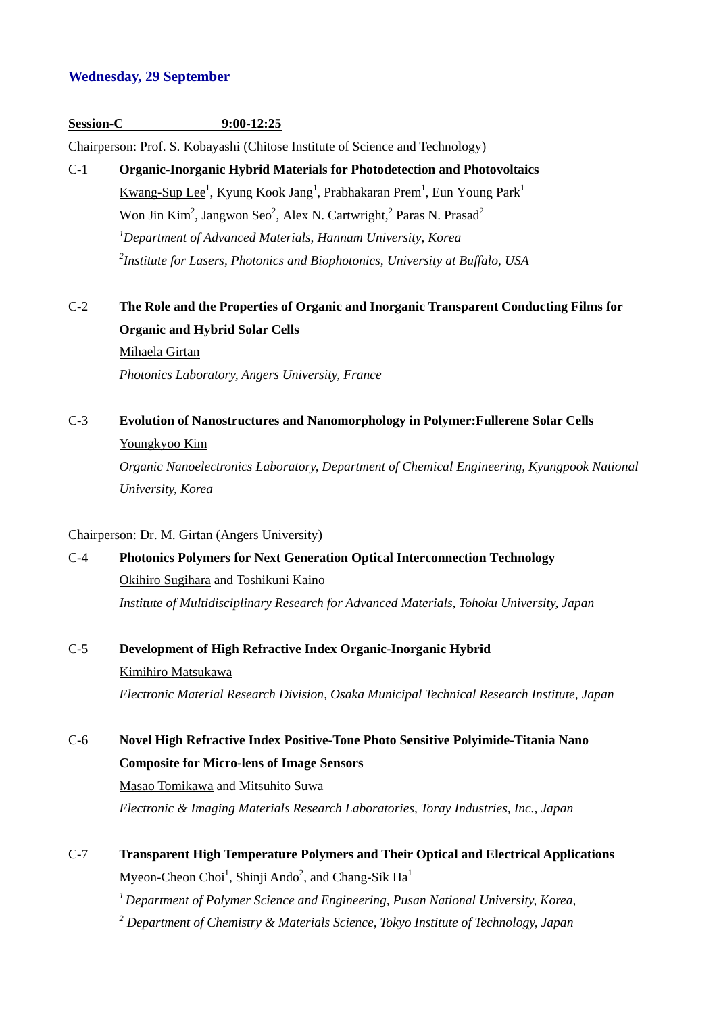#### **Wednesday, 29 September**

#### **Session-C 9:00-12:25**

Chairperson: Prof. S. Kobayashi (Chitose Institute of Science and Technology)

C-1 **Organic-Inorganic Hybrid Materials for Photodetection and Photovoltaics**  Kwang-Sup Lee<sup>1</sup>, Kyung Kook Jang<sup>1</sup>, Prabhakaran Prem<sup>1</sup>, Eun Young Park<sup>1</sup> Won Jin Kim<sup>2</sup>, Jangwon Seo<sup>2</sup>, Alex N. Cartwright,<sup>2</sup> Paras N. Prasad<sup>2</sup>  *1Department of Advanced Materials, Hannam University, Korea 2Institute for Lasers, Photonics and Biophotonics, University at Buffalo, USA* 

# C-2 **The Role and the Properties of Organic and Inorganic Transparent Conducting Films for Organic and Hybrid Solar Cells**

 Mihaela Girtan *Photonics Laboratory, Angers University, France* 

### C-3 **Evolution of Nanostructures and Nanomorphology in Polymer:Fullerene Solar Cells** Youngkyoo Kim

 *Organic Nanoelectronics Laboratory, Department of Chemical Engineering, Kyungpook National University, Korea* 

#### Chairperson: Dr. M. Girtan (Angers University)

# C-4 **Photonics Polymers for Next Generation Optical Interconnection Technology**  Okihiro Sugihara and Toshikuni Kaino  *Institute of Multidisciplinary Research for Advanced Materials, Tohoku University, Japan*

### C-5 **Development of High Refractive Index Organic-Inorganic Hybrid**

 Kimihiro Matsukawa  *Electronic Material Research Division, Osaka Municipal Technical Research Institute, Japan* 

# C-6 **Novel High Refractive Index Positive-Tone Photo Sensitive Polyimide-Titania Nano Composite for Micro-lens of Image Sensors**  Masao Tomikawa and Mitsuhito Suwa *Electronic & Imaging Materials Research Laboratories, Toray Industries, Inc., Japan*

C-7 **Transparent High Temperature Polymers and Their Optical and Electrical Applications** Myeon-Cheon Choi<sup>1</sup>, Shinji Ando<sup>2</sup>, and Chang-Sik Ha<sup>1</sup>  *1 Department of Polymer Science and Engineering, Pusan National University, Korea, 2 Department of Chemistry & Materials Science, Tokyo Institute of Technology, Japan*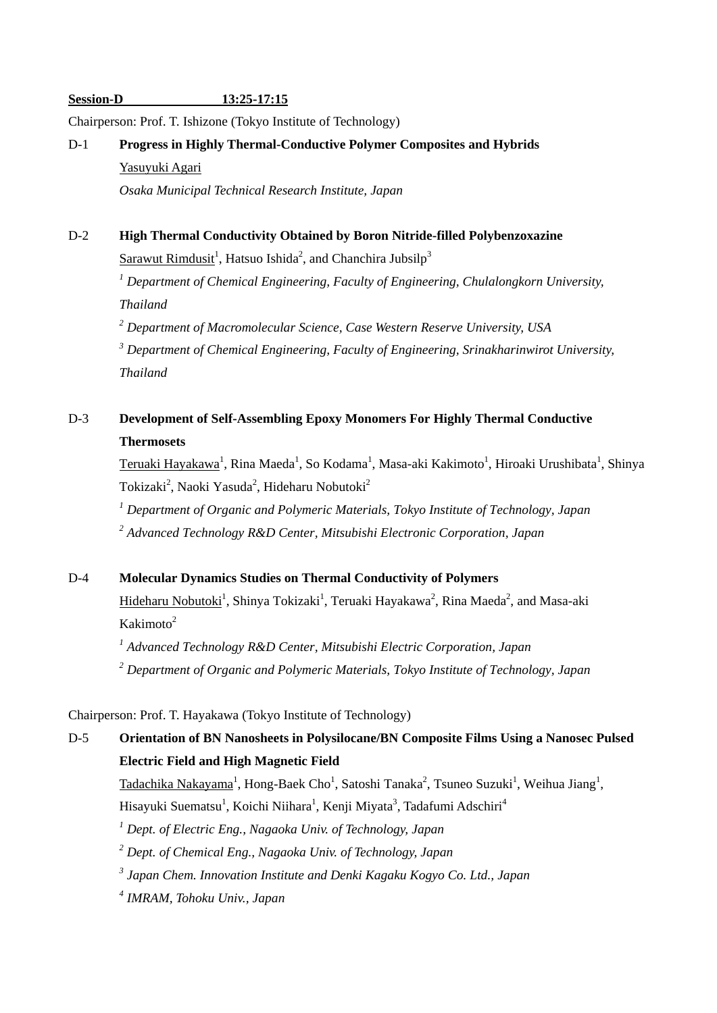#### **Session-D 13:25-17:15**

Chairperson: Prof. T. Ishizone (Tokyo Institute of Technology)

# D-1 **Progress in Highly Thermal-Conductive Polymer Composites and Hybrids**  Yasuyuki Agari

*Osaka Municipal Technical Research Institute, Japan* 

### D-2 **High Thermal Conductivity Obtained by Boron Nitride-filled Polybenzoxazine**

Sarawut Rimdusit<sup>1</sup>, Hatsuo Ishida<sup>2</sup>, and Chanchira Jubsilp<sup>3</sup>

 *1 Department of Chemical Engineering, Faculty of Engineering, Chulalongkorn University, Thailand* 

*2 Department of Macromolecular Science, Case Western Reserve University, USA* 

*3 Department of Chemical Engineering, Faculty of Engineering, Srinakharinwirot University, Thailand* 

# D-3 **Development of Self-Assembling Epoxy Monomers For Highly Thermal Conductive Thermosets**

 $T$ eruaki Hayakawa<sup>1</sup>, Rina Maeda<sup>1</sup>, So Kodama<sup>1</sup>, Masa-aki Kakimoto<sup>1</sup>, Hiroaki Urushibata<sup>1</sup>, Shinya Tokizaki<sup>2</sup>, Naoki Yasuda<sup>2</sup>, Hideharu Nobutoki<sup>2</sup>

 *1 Department of Organic and Polymeric Materials, Tokyo Institute of Technology, Japan 2 Advanced Technology R&D Center, Mitsubishi Electronic Corporation, Japan* 

### D-4 **Molecular Dynamics Studies on Thermal Conductivity of Polymers**

Hideharu Nobutoki<sup>1</sup>, Shinya Tokizaki<sup>1</sup>, Teruaki Hayakawa<sup>2</sup>, Rina Maeda<sup>2</sup>, and Masa-aki Kakimoto $2$ 

<sup>1</sup> Advanced Technology R&D Center, Mitsubishi Electric Corporation, Japan *2 Department of Organic and Polymeric Materials, Tokyo Institute of Technology, Japan* 

Chairperson: Prof. T. Hayakawa (Tokyo Institute of Technology)

# D-5 **Orientation of BN Nanosheets in Polysilocane/BN Composite Films Using a Nanosec Pulsed Electric Field and High Magnetic Field**

 $\text{Tadachika Nakayama}^1$ , Hong-Baek Cho<sup>1</sup>, Satoshi Tanaka<sup>2</sup>, Tsuneo Suzuki<sup>1</sup>, Weihua Jiang<sup>1</sup>,

Hisayuki Suematsu<sup>1</sup>, Koichi Niihara<sup>1</sup>, Kenji Miyata<sup>3</sup>, Tadafumi Adschiri<sup>4</sup>

 *1 Dept. of Electric Eng., Nagaoka Univ. of Technology, Japan* 

 *2 Dept. of Chemical Eng., Nagaoka Univ. of Technology, Japan* 

*3 Japan Chem. Innovation Institute and Denki Kagaku Kogyo Co. Ltd., Japan* 

*4 IMRAM, Tohoku Univ., Japan*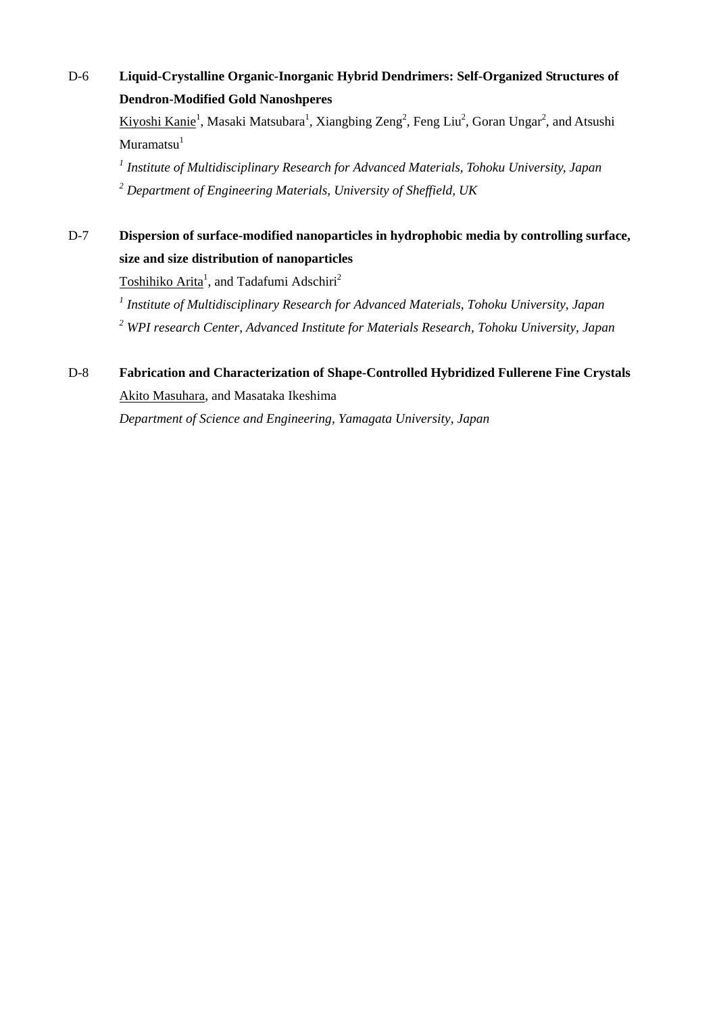# D-6 **Liquid-Crystalline Organic-Inorganic Hybrid Dendrimers: Self-Organized Structures of Dendron-Modified Gold Nanoshperes**

Kiyoshi Kanie<sup>1</sup>, Masaki Matsubara<sup>1</sup>, Xiangbing Zeng<sup>2</sup>, Feng Liu<sup>2</sup>, Goran Ungar<sup>2</sup>, and Atsushi  $Muramatsu<sup>1</sup>$ 

*1 Institute of Multidisciplinary Research for Advanced Materials, Tohoku University, Japan 2 Department of Engineering Materials, University of Sheffield, UK* 

D-7 **Dispersion of surface-modified nanoparticles in hydrophobic media by controlling surface, size and size distribution of nanoparticles** 

Toshihiko Arita<sup>1</sup>, and Tadafumi Adschiri<sup>2</sup>

*1 Institute of Multidisciplinary Research for Advanced Materials, Tohoku University, Japan 2 WPI research Center, Advanced Institute for Materials Research, Tohoku University, Japan* 

### D-8 **Fabrication and Characterization of Shape-Controlled Hybridized Fullerene Fine Crystals**  Akito Masuhara, and Masataka Ikeshima

 *Department of Science and Engineering, Yamagata University, Japan*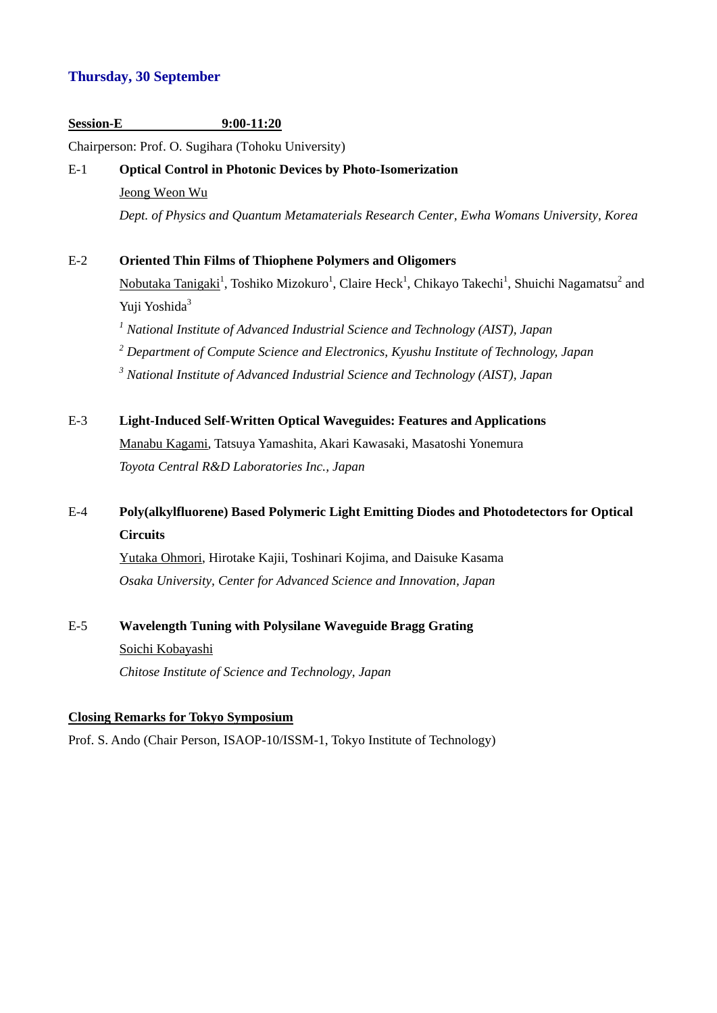### **Thursday, 30 September**

### **Session-E 9:00-11:20**

Chairperson: Prof. O. Sugihara (Tohoku University)

# E-1 **Optical Control in Photonic Devices by Photo-Isomerization**  Jeong Weon Wu  *Dept. of Physics and Quantum Metamaterials Research Center, Ewha Womans University, Korea*

E-2 **Oriented Thin Films of Thiophene Polymers and Oligomers** 

Nobutaka Tanigaki<sup>1</sup>, Toshiko Mizokuro<sup>1</sup>, Claire Heck<sup>1</sup>, Chikayo Takechi<sup>1</sup>, Shuichi Nagamatsu<sup>2</sup> and Yuji Yoshida<sup>3</sup>

 *1 National Institute of Advanced Industrial Science and Technology (AIST), Japan* 

 *2 Department of Compute Science and Electronics, Kyushu Institute of Technology, Japan* 

 *3 National Institute of Advanced Industrial Science and Technology (AIST), Japan* 

### E-3 **Light-Induced Self-Written Optical Waveguides: Features and Applications**

 Manabu Kagami, Tatsuya Yamashita, Akari Kawasaki, Masatoshi Yonemura  *Toyota Central R&D Laboratories Inc., Japan* 

## E-4 **Poly(alkylfluorene) Based Polymeric Light Emitting Diodes and Photodetectors for Optical Circuits**

 Yutaka Ohmori, Hirotake Kajii, Toshinari Kojima, and Daisuke Kasama  *Osaka University, Center for Advanced Science and Innovation, Japan* 

# E-5 **Wavelength Tuning with Polysilane Waveguide Bragg Grating**  Soichi Kobayashi  *Chitose Institute of Science and Technology, Japan*

#### **Closing Remarks for Tokyo Symposium**

Prof. S. Ando (Chair Person, ISAOP-10/ISSM-1, Tokyo Institute of Technology)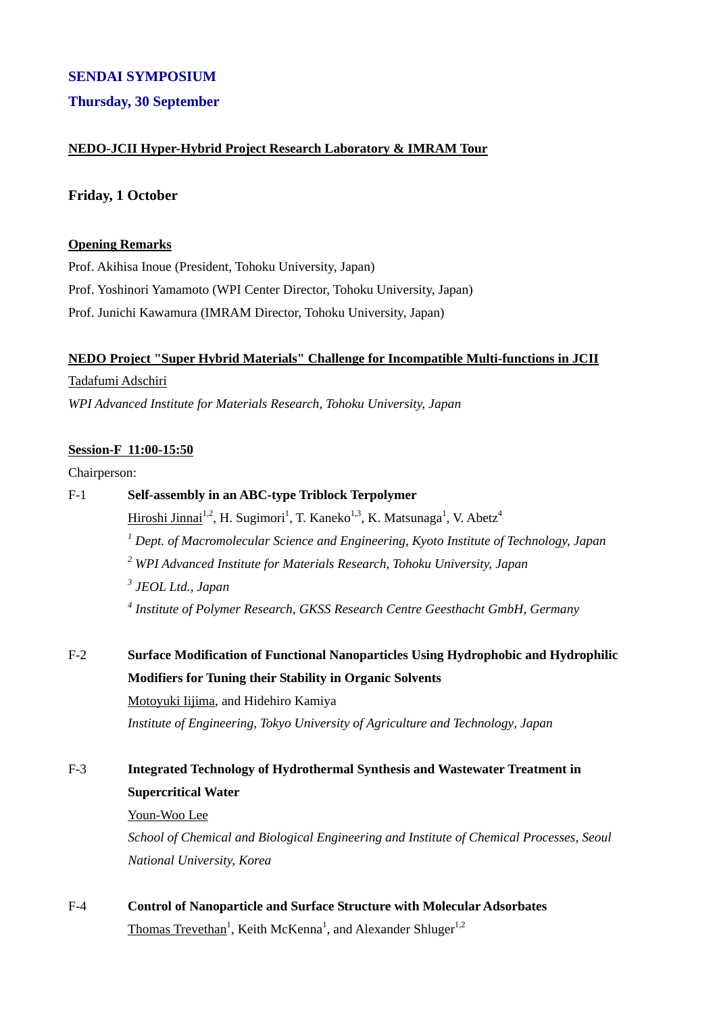### **SENDAI SYMPOSIUM**

### **Thursday, 30 September**

### **NEDO-JCII Hyper-Hybrid Project Research Laboratory & IMRAM Tour**

#### **Friday, 1 October**

#### **Opening Remarks**

Prof. Akihisa Inoue (President, Tohoku University, Japan) Prof. Yoshinori Yamamoto (WPI Center Director, Tohoku University, Japan) Prof. Junichi Kawamura (IMRAM Director, Tohoku University, Japan)

#### **NEDO Project "Super Hybrid Materials" Challenge for Incompatible Multi-functions in JCII**

#### Tadafumi Adschiri

*WPI Advanced Institute for Materials Research, Tohoku University, Japan* 

#### **Session-F 11:00-15:50**

#### Chairperson:

# F-1 **Self-assembly in an ABC-type Triblock Terpolymer**

Hiroshi Jinnai<sup>1,2</sup>, H. Sugimori<sup>1</sup>, T. Kaneko<sup>1,3</sup>, K. Matsunaga<sup>1</sup>, V. Abetz<sup>4</sup> <sup>1</sup> Dept. of Macromolecular Science and Engineering, Kyoto Institute of Technology, Japan *2 WPI Advanced Institute for Materials Research, Tohoku University, Japan 3 JEOL Ltd., Japan* 

 *4 Institute of Polymer Research, GKSS Research Centre Geesthacht GmbH, Germany* 

F-2 **Surface Modification of Functional Nanoparticles Using Hydrophobic and Hydrophilic Modifiers for Tuning their Stability in Organic Solvents**  Motoyuki Iijima, and Hidehiro Kamiya

*Institute of Engineering, Tokyo University of Agriculture and Technology, Japan* 

### F-3 **Integrated Technology of Hydrothermal Synthesis and Wastewater Treatment in Supercritical Water**

#### Youn-Woo Lee

*School of Chemical and Biological Engineering and Institute of Chemical Processes, Seoul National University, Korea* 

F-4 **Control of Nanoparticle and Surface Structure with Molecular Adsorbates** Thomas Trevethan<sup>1</sup>, Keith McKenna<sup>1</sup>, and Alexander Shluger<sup>1,2</sup>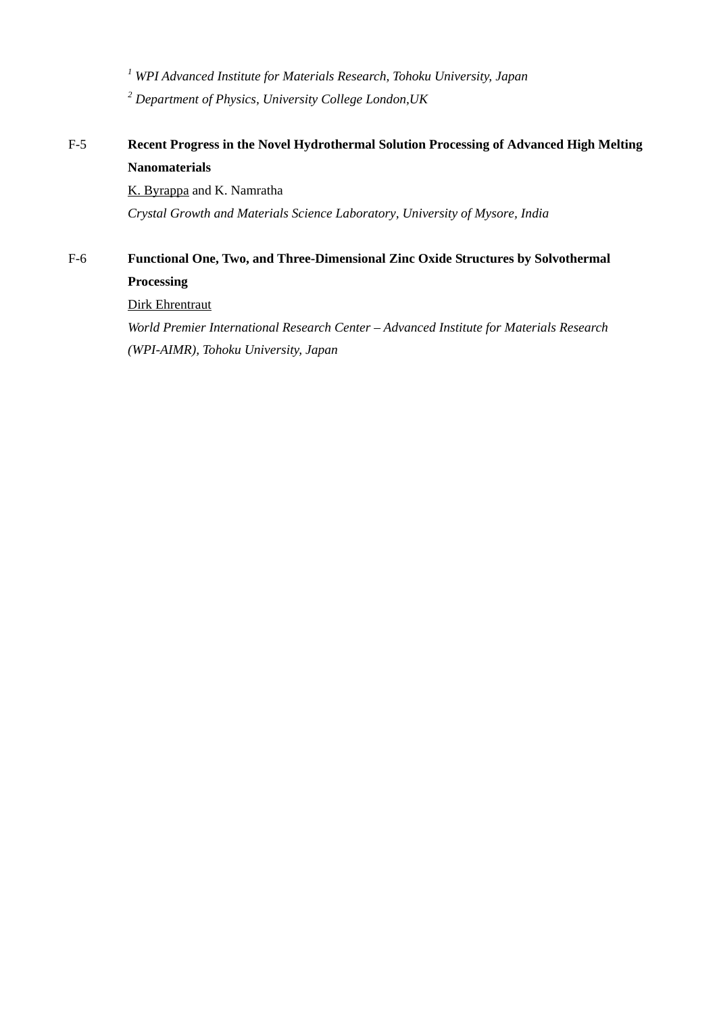*1 WPI Advanced Institute for Materials Research, Tohoku University, Japan 2 Department of Physics, University College London,UK*

### F-5 **Recent Progress in the Novel Hydrothermal Solution Processing of Advanced High Melting Nanomaterials**

 K. Byrappa and K. Namratha  *Crystal Growth and Materials Science Laboratory, University of Mysore, India* 

## F-6 **Functional One, Two, and Three-Dimensional Zinc Oxide Structures by Solvothermal Processing**

Dirk Ehrentraut

*World Premier International Research Center – Advanced Institute for Materials Research (WPI-AIMR), Tohoku University, Japan*